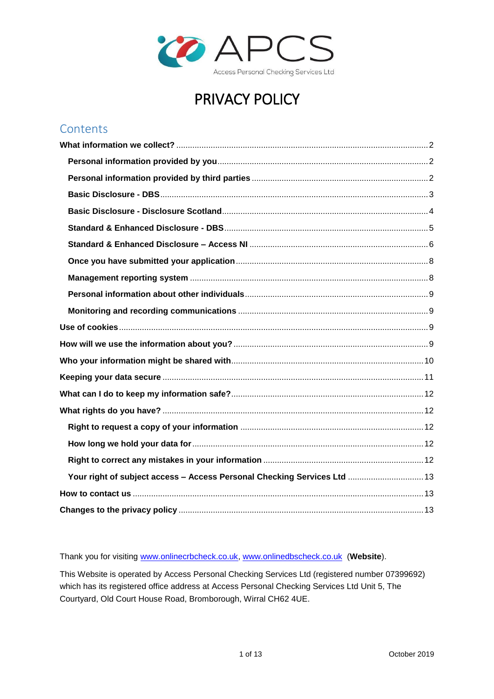

# PRIVACY POLICY

## Contents

| Your right of subject access - Access Personal Checking Services Ltd  13 |  |
|--------------------------------------------------------------------------|--|
|                                                                          |  |
|                                                                          |  |

Thank you for visiting [www.onlinecrbcheck.co.uk,](http://www.onlinecrbcheck.co.uk/) [www.onlinedbscheck.co.uk](http://www.onlinedbscheck.co.uk/) (**Website**).

This Website is operated by Access Personal Checking Services Ltd (registered number 07399692) which has its registered office address at Access Personal Checking Services Ltd Unit 5, The Courtyard, Old Court House Road, Bromborough, Wirral CH62 4UE.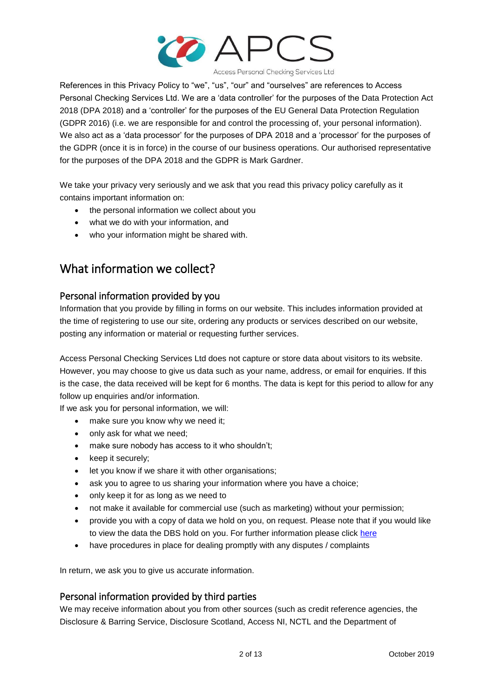

Access Personal Checking Services Ltd

References in this Privacy Policy to "we", "us", "our" and "ourselves" are references to Access Personal Checking Services Ltd. We are a 'data controller' for the purposes of the Data Protection Act 2018 (DPA 2018) and a 'controller' for the purposes of the EU General Data Protection Regulation (GDPR 2016) (i.e. we are responsible for and control the processing of, your personal information). We also act as a 'data processor' for the purposes of DPA 2018 and a 'processor' for the purposes of the GDPR (once it is in force) in the course of our business operations. Our authorised representative for the purposes of the DPA 2018 and the GDPR is Mark Gardner.

We take your privacy very seriously and we ask that you read this privacy policy carefully as it contains important information on:

- the personal information we collect about you
- what we do with your information, and
- who your information might be shared with.

## <span id="page-1-0"></span>What information we collect?

### <span id="page-1-1"></span>Personal information provided by you

Information that you provide by filling in forms on our website. This includes information provided at the time of registering to use our site, ordering any products or services described on our website, posting any information or material or requesting further services.

Access Personal Checking Services Ltd does not capture or store data about visitors to its website. However, you may choose to give us data such as your name, address, or email for enquiries. If this is the case, the data received will be kept for 6 months. The data is kept for this period to allow for any follow up enquiries and/or information.

If we ask you for personal information, we will:

- make sure you know why we need it;
- only ask for what we need;
- make sure nobody has access to it who shouldn't;
- keep it securely;
- let you know if we share it with other organisations;
- ask you to agree to us sharing your information where you have a choice;
- only keep it for as long as we need to
- not make it available for commercial use (such as marketing) without your permission;
- provide you with a copy of data we hold on you, on request. Please note that if you would like to view the data the DBS hold on you. For further information please click [here](https://www.gov.uk/government/publications/dbs-subject-access-request)
- have procedures in place for dealing promptly with any disputes / complaints

In return, we ask you to give us accurate information.

#### <span id="page-1-2"></span>Personal information provided by third parties

We may receive information about you from other sources (such as credit reference agencies, the Disclosure & Barring Service, Disclosure Scotland, Access NI, NCTL and the Department of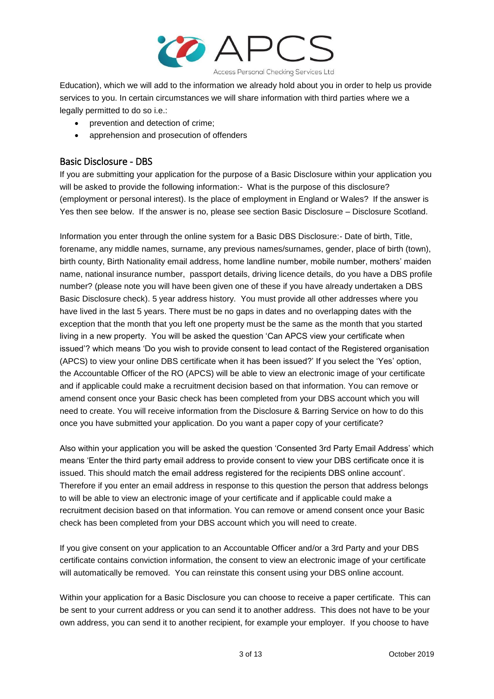

Education), which we will add to the information we already hold about you in order to help us provide services to you. In certain circumstances we will share information with third parties where we a legally permitted to do so i.e.:

- prevention and detection of crime;
- apprehension and prosecution of offenders

### <span id="page-2-0"></span>Basic Disclosure - DBS

If you are submitting your application for the purpose of a Basic Disclosure within your application you will be asked to provide the following information:- What is the purpose of this disclosure? (employment or personal interest). Is the place of employment in England or Wales? If the answer is Yes then see below. If the answer is no, please see section Basic Disclosure – Disclosure Scotland.

Information you enter through the online system for a Basic DBS Disclosure:- Date of birth, Title, forename, any middle names, surname, any previous names/surnames, gender, place of birth (town), birth county, Birth Nationality email address, home landline number, mobile number, mothers' maiden name, national insurance number, passport details, driving licence details, do you have a DBS profile number? (please note you will have been given one of these if you have already undertaken a DBS Basic Disclosure check). 5 year address history. You must provide all other addresses where you have lived in the last 5 years. There must be no gaps in dates and no overlapping dates with the exception that the month that you left one property must be the same as the month that you started living in a new property. You will be asked the question 'Can APCS view your certificate when issued'? which means 'Do you wish to provide consent to lead contact of the Registered organisation (APCS) to view your online DBS certificate when it has been issued?' If you select the 'Yes' option, the Accountable Officer of the RO (APCS) will be able to view an electronic image of your certificate and if applicable could make a recruitment decision based on that information. You can remove or amend consent once your Basic check has been completed from your DBS account which you will need to create. You will receive information from the Disclosure & Barring Service on how to do this once you have submitted your application. Do you want a paper copy of your certificate?

Also within your application you will be asked the question 'Consented 3rd Party Email Address' which means 'Enter the third party email address to provide consent to view your DBS certificate once it is issued. This should match the email address registered for the recipients DBS online account'. Therefore if you enter an email address in response to this question the person that address belongs to will be able to view an electronic image of your certificate and if applicable could make a recruitment decision based on that information. You can remove or amend consent once your Basic check has been completed from your DBS account which you will need to create.

If you give consent on your application to an Accountable Officer and/or a 3rd Party and your DBS certificate contains conviction information, the consent to view an electronic image of your certificate will automatically be removed. You can reinstate this consent using your DBS online account.

Within your application for a Basic Disclosure you can choose to receive a paper certificate. This can be sent to your current address or you can send it to another address. This does not have to be your own address, you can send it to another recipient, for example your employer. If you choose to have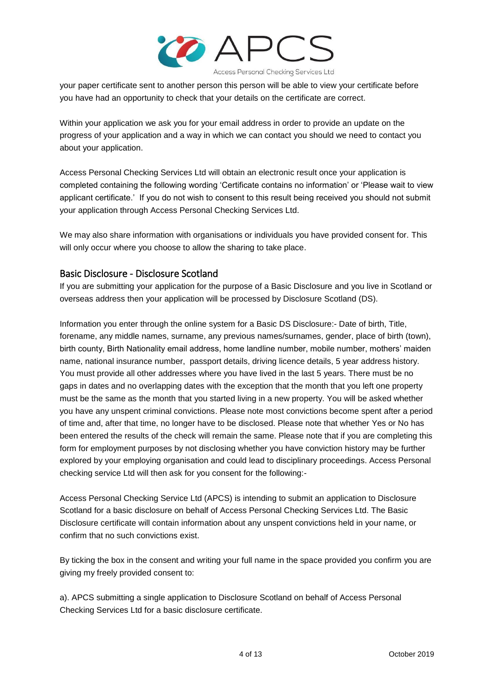

your paper certificate sent to another person this person will be able to view your certificate before you have had an opportunity to check that your details on the certificate are correct.

Within your application we ask you for your email address in order to provide an update on the progress of your application and a way in which we can contact you should we need to contact you about your application.

Access Personal Checking Services Ltd will obtain an electronic result once your application is completed containing the following wording 'Certificate contains no information' or 'Please wait to view applicant certificate.' If you do not wish to consent to this result being received you should not submit your application through Access Personal Checking Services Ltd.

We may also share information with organisations or individuals you have provided consent for. This will only occur where you choose to allow the sharing to take place.

### <span id="page-3-0"></span>Basic Disclosure - Disclosure Scotland

If you are submitting your application for the purpose of a Basic Disclosure and you live in Scotland or overseas address then your application will be processed by Disclosure Scotland (DS).

Information you enter through the online system for a Basic DS Disclosure:- Date of birth, Title, forename, any middle names, surname, any previous names/surnames, gender, place of birth (town), birth county, Birth Nationality email address, home landline number, mobile number, mothers' maiden name, national insurance number, passport details, driving licence details, 5 year address history. You must provide all other addresses where you have lived in the last 5 years. There must be no gaps in dates and no overlapping dates with the exception that the month that you left one property must be the same as the month that you started living in a new property. You will be asked whether you have any unspent criminal convictions. Please note most convictions become spent after a period of time and, after that time, no longer have to be disclosed. Please note that whether Yes or No has been entered the results of the check will remain the same. Please note that if you are completing this form for employment purposes by not disclosing whether you have conviction history may be further explored by your employing organisation and could lead to disciplinary proceedings. Access Personal checking service Ltd will then ask for you consent for the following:-

Access Personal Checking Service Ltd (APCS) is intending to submit an application to Disclosure Scotland for a basic disclosure on behalf of Access Personal Checking Services Ltd. The Basic Disclosure certificate will contain information about any unspent convictions held in your name, or confirm that no such convictions exist.

By ticking the box in the consent and writing your full name in the space provided you confirm you are giving my freely provided consent to:

a). APCS submitting a single application to Disclosure Scotland on behalf of Access Personal Checking Services Ltd for a basic disclosure certificate.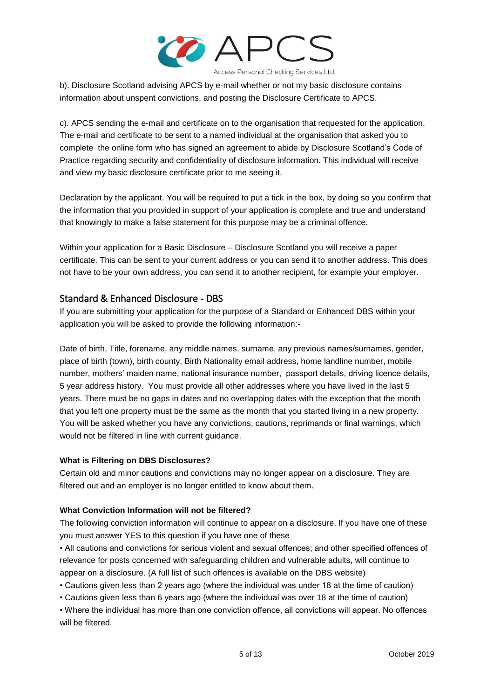

b). Disclosure Scotland advising APCS by e-mail whether or not my basic disclosure contains information about unspent convictions, and posting the Disclosure Certificate to APCS.

c). APCS sending the e-mail and certificate on to the organisation that requested for the application. The e-mail and certificate to be sent to a named individual at the organisation that asked you to complete the online form who has signed an agreement to abide by Disclosure Scotland's Code of Practice regarding security and confidentiality of disclosure information. This individual will receive and view my basic disclosure certificate prior to me seeing it.

Declaration by the applicant. You will be required to put a tick in the box, by doing so you confirm that the information that you provided in support of your application is complete and true and understand that knowingly to make a false statement for this purpose may be a criminal offence.

Within your application for a Basic Disclosure – Disclosure Scotland you will receive a paper certificate. This can be sent to your current address or you can send it to another address. This does not have to be your own address, you can send it to another recipient, for example your employer.

## <span id="page-4-0"></span>Standard & Enhanced Disclosure - DBS

If you are submitting your application for the purpose of a Standard or Enhanced DBS within your application you will be asked to provide the following information:-

Date of birth, Title, forename, any middle names, surname, any previous names/surnames, gender, place of birth (town), birth county, Birth Nationality email address, home landline number, mobile number, mothers' maiden name, national insurance number, passport details, driving licence details, 5 year address history. You must provide all other addresses where you have lived in the last 5 years. There must be no gaps in dates and no overlapping dates with the exception that the month that you left one property must be the same as the month that you started living in a new property. You will be asked whether you have any convictions, cautions, reprimands or final warnings, which would not be filtered in line with current guidance.

#### **What is Filtering on DBS Disclosures?**

Certain old and minor cautions and convictions may no longer appear on a disclosure. They are filtered out and an employer is no longer entitled to know about them.

#### **What Conviction Information will not be filtered?**

The following conviction information will continue to appear on a disclosure. If you have one of these you must answer YES to this question if you have one of these

• All cautions and convictions for serious violent and sexual offences; and other specified offences of relevance for posts concerned with safeguarding children and vulnerable adults, will continue to appear on a disclosure. (A full list of such offences is available on the DBS website)

• Cautions given less than 2 years ago (where the individual was under 18 at the time of caution)

- Cautions given less than 6 years ago (where the individual was over 18 at the time of caution)
- Where the individual has more than one conviction offence, all convictions will appear. No offences will be filtered.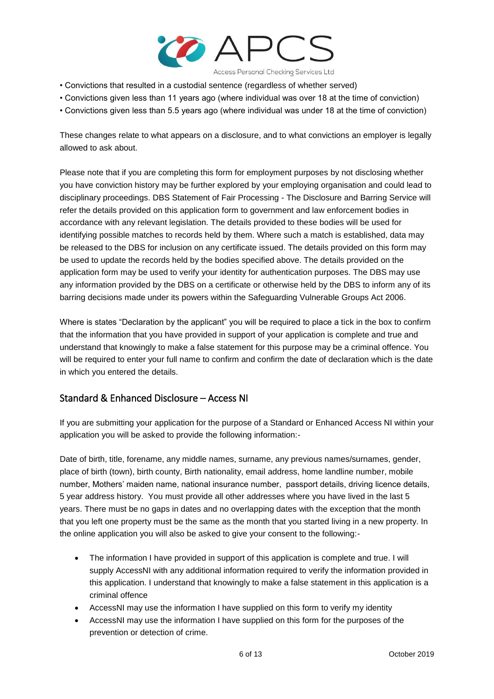

- Convictions that resulted in a custodial sentence (regardless of whether served)
- Convictions given less than 11 years ago (where individual was over 18 at the time of conviction)
- Convictions given less than 5.5 years ago (where individual was under 18 at the time of conviction)

These changes relate to what appears on a disclosure, and to what convictions an employer is legally allowed to ask about.

Please note that if you are completing this form for employment purposes by not disclosing whether you have conviction history may be further explored by your employing organisation and could lead to disciplinary proceedings. DBS Statement of Fair Processing - The Disclosure and Barring Service will refer the details provided on this application form to government and law enforcement bodies in accordance with any relevant legislation. The details provided to these bodies will be used for identifying possible matches to records held by them. Where such a match is established, data may be released to the DBS for inclusion on any certificate issued. The details provided on this form may be used to update the records held by the bodies specified above. The details provided on the application form may be used to verify your identity for authentication purposes. The DBS may use any information provided by the DBS on a certificate or otherwise held by the DBS to inform any of its barring decisions made under its powers within the Safeguarding Vulnerable Groups Act 2006.

Where is states "Declaration by the applicant" you will be required to place a tick in the box to confirm that the information that you have provided in support of your application is complete and true and understand that knowingly to make a false statement for this purpose may be a criminal offence. You will be required to enter your full name to confirm and confirm the date of declaration which is the date in which you entered the details.

#### <span id="page-5-0"></span>Standard & Enhanced Disclosure – Access NI

If you are submitting your application for the purpose of a Standard or Enhanced Access NI within your application you will be asked to provide the following information:-

Date of birth, title, forename, any middle names, surname, any previous names/surnames, gender, place of birth (town), birth county, Birth nationality, email address, home landline number, mobile number, Mothers' maiden name, national insurance number, passport details, driving licence details, 5 year address history. You must provide all other addresses where you have lived in the last 5 years. There must be no gaps in dates and no overlapping dates with the exception that the month that you left one property must be the same as the month that you started living in a new property. In the online application you will also be asked to give your consent to the following:-

- The information I have provided in support of this application is complete and true. I will supply AccessNI with any additional information required to verify the information provided in this application. I understand that knowingly to make a false statement in this application is a criminal offence
- AccessNI may use the information I have supplied on this form to verify my identity
- AccessNI may use the information I have supplied on this form for the purposes of the prevention or detection of crime.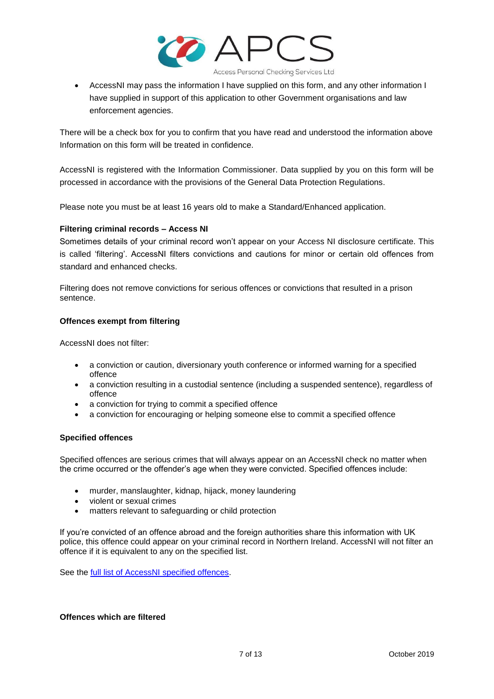

 AccessNI may pass the information I have supplied on this form, and any other information I have supplied in support of this application to other Government organisations and law enforcement agencies.

There will be a check box for you to confirm that you have read and understood the information above Information on this form will be treated in confidence.

AccessNI is registered with the Information Commissioner. Data supplied by you on this form will be processed in accordance with the provisions of the General Data Protection Regulations.

Please note you must be at least 16 years old to make a Standard/Enhanced application.

#### **Filtering criminal records – Access NI**

Sometimes details of your criminal record won't appear on your Access NI disclosure certificate. This is called 'filtering'. AccessNI filters convictions and cautions for minor or certain old offences from standard and enhanced checks.

Filtering does not remove convictions for serious offences or convictions that resulted in a prison sentence.

#### **Offences exempt from filtering**

AccessNI does not filter:

- a conviction or caution, diversionary youth conference or informed warning for a specified offence
- a conviction resulting in a custodial sentence (including a suspended sentence), regardless of offence
- a conviction for trying to commit a specified offence
- a conviction for encouraging or helping someone else to commit a specified offence

#### **Specified offences**

Specified offences are serious crimes that will always appear on an AccessNI check no matter when the crime occurred or the offender's age when they were convicted. Specified offences include:

- murder, manslaughter, kidnap, hijack, money laundering
- violent or sexual crimes
- matters relevant to safeguarding or child protection

If you're convicted of an offence abroad and the foreign authorities share this information with UK police, this offence could appear on your criminal record in Northern Ireland. AccessNI will not filter an offence if it is equivalent to any on the specified list.

See the full list of [AccessNI specified offences.](https://www.nidirect.gov.uk/publications/accessni-list-specified-offences)

#### **Offences which are filtered**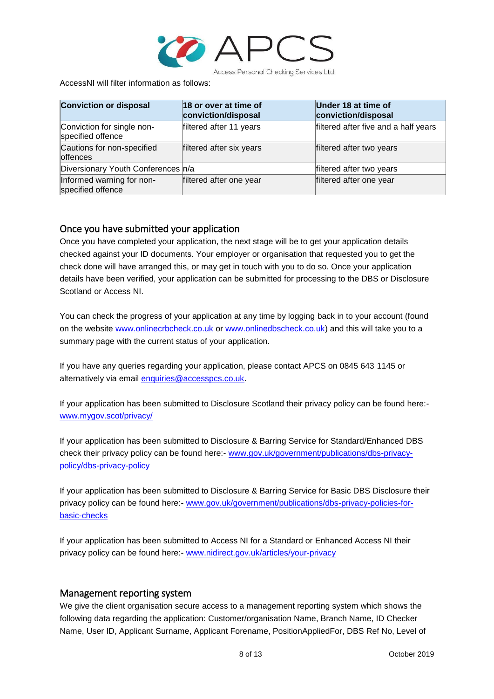

AccessNI will filter information as follows:

| <b>Conviction or disposal</b>                   | 18 or over at time of<br>conviction/disposal | Under 18 at time of<br>conviction/disposal |
|-------------------------------------------------|----------------------------------------------|--------------------------------------------|
| Conviction for single non-<br>specified offence | filtered after 11 years                      | filtered after five and a half years       |
| Cautions for non-specified<br>offences          | filtered after six years                     | filtered after two years                   |
| Diversionary Youth Conferences n/a              |                                              | filtered after two years                   |
| Informed warning for non-<br>specified offence  | filtered after one year                      | filtered after one year                    |

#### <span id="page-7-0"></span>Once you have submitted your application

Once you have completed your application, the next stage will be to get your application details checked against your ID documents. Your employer or organisation that requested you to get the check done will have arranged this, or may get in touch with you to do so. Once your application details have been verified, your application can be submitted for processing to the DBS or Disclosure Scotland or Access NI.

You can check the progress of your application at any time by logging back in to your account (found on the website [www.onlinecrbcheck.co.uk](http://www.onlinecrbcheck.co.uk/) or [www.onlinedbscheck.co.uk\)](http://www.onlinedbscheck.co.uk/) and this will take you to a summary page with the current status of your application.

If you have any queries regarding your application, please contact APCS on 0845 643 1145 or alternatively via email [enquiries@accesspcs.co.uk.](mailto:enquiries@accesspcs.co.uk)

If your application has been submitted to Disclosure Scotland their privacy policy can be found here: [www.mygov.scot/privacy/](http://www.mygov.scot/privacy/)

If your application has been submitted to Disclosure & Barring Service for Standard/Enhanced DBS check their privacy policy can be found here:- [www.gov.uk/government/publications/dbs-privacy](http://www.gov.uk/government/publications/dbs-privacy-policy/dbs-privacy-policy)[policy/dbs-privacy-policy](http://www.gov.uk/government/publications/dbs-privacy-policy/dbs-privacy-policy)

If your application has been submitted to Disclosure & Barring Service for Basic DBS Disclosure their privacy policy can be found here:- [www.gov.uk/government/publications/dbs-privacy-policies-for](http://www.gov.uk/government/publications/dbs-privacy-policies-for-basic-checks)[basic-checks](http://www.gov.uk/government/publications/dbs-privacy-policies-for-basic-checks)

If your application has been submitted to Access NI for a Standard or Enhanced Access NI their privacy policy can be found here:- [www.nidirect.gov.uk/articles/your-privacy](http://www.nidirect.gov.uk/articles/your-privacy)

#### <span id="page-7-1"></span>Management reporting system

We give the client organisation secure access to a management reporting system which shows the following data regarding the application: Customer/organisation Name, Branch Name, ID Checker Name, User ID, Applicant Surname, Applicant Forename, PositionAppliedFor, DBS Ref No, Level of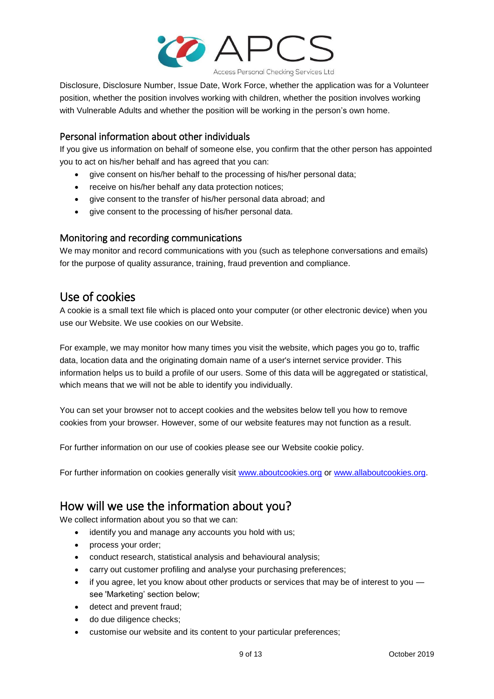

Disclosure, Disclosure Number, Issue Date, Work Force, whether the application was for a Volunteer position, whether the position involves working with children, whether the position involves working with Vulnerable Adults and whether the position will be working in the person's own home.

## <span id="page-8-0"></span>Personal information about other individuals

If you give us information on behalf of someone else, you confirm that the other person has appointed you to act on his/her behalf and has agreed that you can:

- give consent on his/her behalf to the processing of his/her personal data;
- receive on his/her behalf any data protection notices;
- give consent to the transfer of his/her personal data abroad; and
- give consent to the processing of his/her personal data.

### <span id="page-8-1"></span>Monitoring and recording communications

We may monitor and record communications with you (such as telephone conversations and emails) for the purpose of quality assurance, training, fraud prevention and compliance.

## <span id="page-8-2"></span>Use of cookies

A cookie is a small text file which is placed onto your computer (or other electronic device) when you use our Website. We use cookies on our Website.

For example, we may monitor how many times you visit the website, which pages you go to, traffic data, location data and the originating domain name of a user's internet service provider. This information helps us to build a profile of our users. Some of this data will be aggregated or statistical, which means that we will not be able to identify you individually.

You can set your browser not to accept cookies and the websites below tell you how to remove cookies from your browser. However, some of our website features may not function as a result.

For further information on our use of cookies please see our Website cookie policy.

For further information on cookies generally visit [www.aboutcookies.org](http://www.aboutcookies.org/) or [www.allaboutcookies.org.](http://www.allaboutcookies.org/)

## <span id="page-8-3"></span>How will we use the information about you?

We collect information about you so that we can:

- identify you and manage any accounts you hold with us;
- process your order;
- conduct research, statistical analysis and behavioural analysis;
- carry out customer profiling and analyse your purchasing preferences;
- if you agree, let you know about other products or services that may be of interest to you see 'Marketing' section below;
- detect and prevent fraud;
- do due diligence checks;
- customise our website and its content to your particular preferences;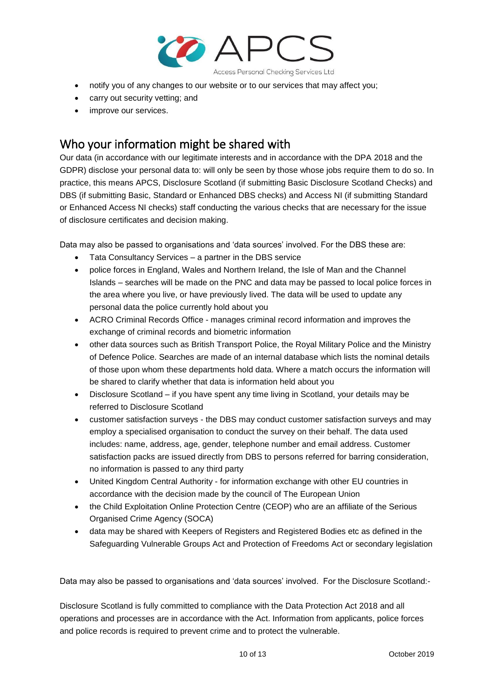

- notify you of any changes to our website or to our services that may affect you;
- carry out security vetting; and
- improve our services.

## <span id="page-9-0"></span>Who your information might be shared with

Our data (in accordance with our legitimate interests and in accordance with the DPA 2018 and the GDPR) disclose your personal data to: will only be seen by those whose jobs require them to do so. In practice, this means APCS, Disclosure Scotland (if submitting Basic Disclosure Scotland Checks) and DBS (if submitting Basic, Standard or Enhanced DBS checks) and Access NI (if submitting Standard or Enhanced Access NI checks) staff conducting the various checks that are necessary for the issue of disclosure certificates and decision making.

Data may also be passed to organisations and 'data sources' involved. For the DBS these are:

- Tata Consultancy Services a partner in the DBS service
- police forces in England, Wales and Northern Ireland, the Isle of Man and the Channel Islands – searches will be made on the PNC and data may be passed to local police forces in the area where you live, or have previously lived. The data will be used to update any personal data the police currently hold about you
- ACRO Criminal Records Office manages criminal record information and improves the exchange of criminal records and biometric information
- other data sources such as British Transport Police, the Royal Military Police and the Ministry of Defence Police. Searches are made of an internal database which lists the nominal details of those upon whom these departments hold data. Where a match occurs the information will be shared to clarify whether that data is information held about you
- Disclosure Scotland if you have spent any time living in Scotland, your details may be referred to Disclosure Scotland
- customer satisfaction surveys the DBS may conduct customer satisfaction surveys and may employ a specialised organisation to conduct the survey on their behalf. The data used includes: name, address, age, gender, telephone number and email address. Customer satisfaction packs are issued directly from DBS to persons referred for barring consideration, no information is passed to any third party
- United Kingdom Central Authority for information exchange with other EU countries in accordance with the decision made by the council of The European Union
- the Child Exploitation Online Protection Centre (CEOP) who are an affiliate of the Serious Organised Crime Agency (SOCA)
- data may be shared with Keepers of Registers and Registered Bodies etc as defined in the Safeguarding Vulnerable Groups Act and Protection of Freedoms Act or secondary legislation

Data may also be passed to organisations and 'data sources' involved. For the Disclosure Scotland:-

Disclosure Scotland is fully committed to compliance with the Data Protection Act 2018 and all operations and processes are in accordance with the Act. Information from applicants, police forces and police records is required to prevent crime and to protect the vulnerable.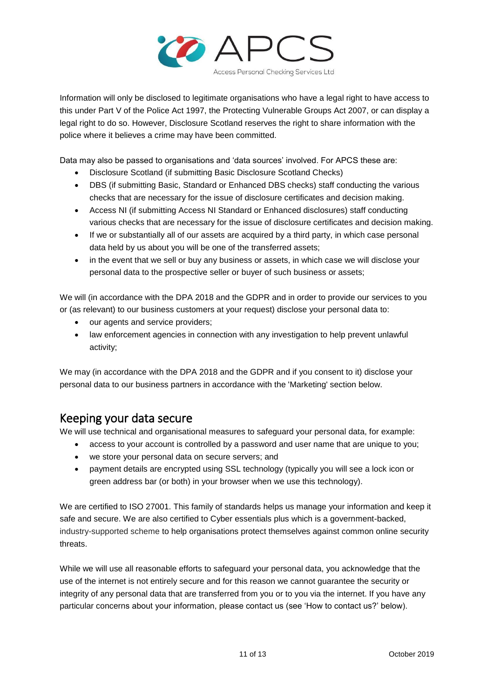

Information will only be disclosed to legitimate organisations who have a legal right to have access to this under Part V of the Police Act 1997, the Protecting Vulnerable Groups Act 2007, or can display a legal right to do so. However, Disclosure Scotland reserves the right to share information with the police where it believes a crime may have been committed.

Data may also be passed to organisations and 'data sources' involved. For APCS these are:

- Disclosure Scotland (if submitting Basic Disclosure Scotland Checks)
- DBS (if submitting Basic, Standard or Enhanced DBS checks) staff conducting the various checks that are necessary for the issue of disclosure certificates and decision making.
- Access NI (if submitting Access NI Standard or Enhanced disclosures) staff conducting various checks that are necessary for the issue of disclosure certificates and decision making.
- If we or substantially all of our assets are acquired by a third party, in which case personal data held by us about you will be one of the transferred assets;
- in the event that we sell or buy any business or assets, in which case we will disclose your personal data to the prospective seller or buyer of such business or assets;

We will (in accordance with the DPA 2018 and the GDPR and in order to provide our services to you or (as relevant) to our business customers at your request) disclose your personal data to:

- our agents and service providers;
- law enforcement agencies in connection with any investigation to help prevent unlawful activity;

We may (in accordance with the DPA 2018 and the GDPR and if you consent to it) disclose your personal data to our business partners in accordance with the 'Marketing' section below.

## <span id="page-10-0"></span>Keeping your data secure

We will use technical and organisational measures to safeguard your personal data, for example:

- access to your account is controlled by a password and user name that are unique to you;
- we store your personal data on secure servers; and
- payment details are encrypted using SSL technology (typically you will see a lock icon or green address bar (or both) in your browser when we use this technology).

We are certified to ISO 27001. This family of standards helps us manage your information and keep it safe and secure. We are also certified to Cyber essentials plus which is a government-backed, industry-supported scheme to help organisations protect themselves against common online security threats.

While we will use all reasonable efforts to safeguard your personal data, you acknowledge that the use of the internet is not entirely secure and for this reason we cannot guarantee the security or integrity of any personal data that are transferred from you or to you via the internet. If you have any particular concerns about your information, please contact us (see 'How to contact us?' below).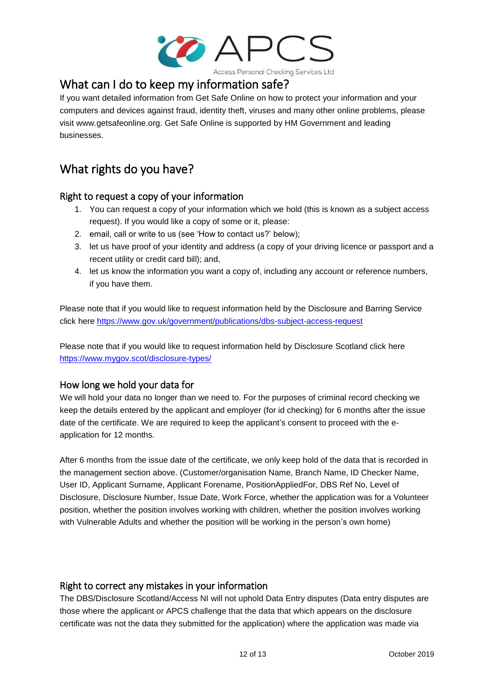

## <span id="page-11-0"></span>What can I do to keep my information safe?

If you want detailed information from Get Safe Online on how to protect your information and your computers and devices against fraud, identity theft, viruses and many other online problems, please visit www.getsafeonline.org. Get Safe Online is supported by HM Government and leading businesses.

## <span id="page-11-1"></span>What rights do you have?

## <span id="page-11-2"></span>Right to request a copy of your information

- 1. You can request a copy of your information which we hold (this is known as a subject access request). If you would like a copy of some or it, please:
- 2. email, call or write to us (see 'How to contact us?' below);
- 3. let us have proof of your identity and address (a copy of your driving licence or passport and a recent utility or credit card bill); and,
- 4. let us know the information you want a copy of, including any account or reference numbers, if you have them.

Please note that if you would like to request information held by the Disclosure and Barring Service click here<https://www.gov.uk/government/publications/dbs-subject-access-request>

Please note that if you would like to request information held by Disclosure Scotland click here <https://www.mygov.scot/disclosure-types/>

## <span id="page-11-3"></span>How long we hold your data for

We will hold your data no longer than we need to. For the purposes of criminal record checking we keep the details entered by the applicant and employer (for id checking) for 6 months after the issue date of the certificate. We are required to keep the applicant's consent to proceed with the eapplication for 12 months.

After 6 months from the issue date of the certificate, we only keep hold of the data that is recorded in the management section above. (Customer/organisation Name, Branch Name, ID Checker Name, User ID, Applicant Surname, Applicant Forename, PositionAppliedFor, DBS Ref No, Level of Disclosure, Disclosure Number, Issue Date, Work Force, whether the application was for a Volunteer position, whether the position involves working with children, whether the position involves working with Vulnerable Adults and whether the position will be working in the person's own home)

### <span id="page-11-4"></span>Right to correct any mistakes in your information

The DBS/Disclosure Scotland/Access NI will not uphold Data Entry disputes (Data entry disputes are those where the applicant or APCS challenge that the data that which appears on the disclosure certificate was not the data they submitted for the application) where the application was made via